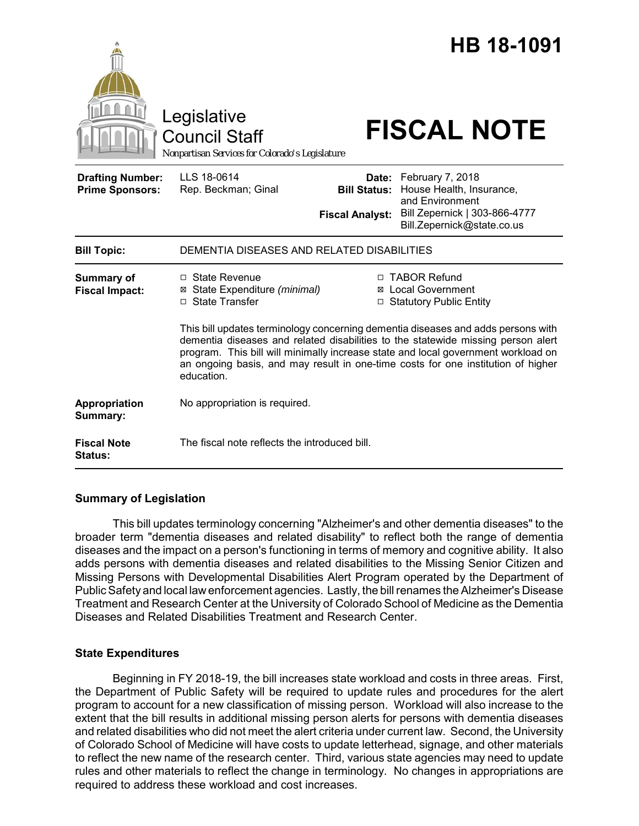

# **Summary of Legislation**

This bill updates terminology concerning "Alzheimer's and other dementia diseases" to the broader term "dementia diseases and related disability" to reflect both the range of dementia diseases and the impact on a person's functioning in terms of memory and cognitive ability. It also adds persons with dementia diseases and related disabilities to the Missing Senior Citizen and Missing Persons with Developmental Disabilities Alert Program operated by the Department of Public Safety and local law enforcement agencies. Lastly, the bill renames the Alzheimer's Disease Treatment and Research Center at the University of Colorado School of Medicine as the Dementia Diseases and Related Disabilities Treatment and Research Center.

# **State Expenditures**

Beginning in FY 2018-19, the bill increases state workload and costs in three areas. First, the Department of Public Safety will be required to update rules and procedures for the alert program to account for a new classification of missing person. Workload will also increase to the extent that the bill results in additional missing person alerts for persons with dementia diseases and related disabilities who did not meet the alert criteria under current law. Second, the University of Colorado School of Medicine will have costs to update letterhead, signage, and other materials to reflect the new name of the research center. Third, various state agencies may need to update rules and other materials to reflect the change in terminology. No changes in appropriations are required to address these workload and cost increases.